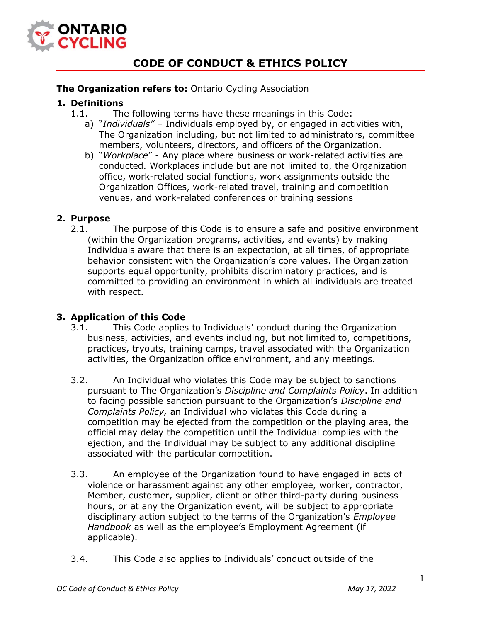

# **CODE OF CONDUCT & ETHICS POLICY**

## **The Organization refers to: Ontario Cycling Association**

## **1. Definitions**

- 1.1. The following terms have these meanings in this Code:
	- a) "*Individuals"*  Individuals employed by, or engaged in activities with, The Organization including, but not limited to administrators, committee members, volunteers, directors, and officers of the Organization.
	- b) "*Workplace*" Any place where business or work-related activities are conducted. Workplaces include but are not limited to, the Organization office, work-related social functions, work assignments outside the Organization Offices, work-related travel, training and competition venues, and work-related conferences or training sessions

## **2. Purpose**

2.1. The purpose of this Code is to ensure a safe and positive environment (within the Organization programs, activities, and events) by making Individuals aware that there is an expectation, at all times, of appropriate behavior consistent with the Organization's core values. The Organization supports equal opportunity, prohibits discriminatory practices, and is committed to providing an environment in which all individuals are treated with respect.

## **3. Application of this Code**

- 3.1. This Code applies to Individuals' conduct during the Organization business, activities, and events including, but not limited to, competitions, practices, tryouts, training camps, travel associated with the Organization activities, the Organization office environment, and any meetings.
- 3.2. An Individual who violates this Code may be subject to sanctions pursuant to The Organization's *Discipline and Complaints Policy*. In addition to facing possible sanction pursuant to the Organization's *Discipline and Complaints Policy,* an Individual who violates this Code during a competition may be ejected from the competition or the playing area, the official may delay the competition until the Individual complies with the ejection, and the Individual may be subject to any additional discipline associated with the particular competition.
- 3.3. An employee of the Organization found to have engaged in acts of violence or harassment against any other employee, worker, contractor, Member, customer, supplier, client or other third-party during business hours, or at any the Organization event, will be subject to appropriate disciplinary action subject to the terms of the Organization's *Employee Handbook* as well as the employee's Employment Agreement (if applicable).
- 3.4. This Code also applies to Individuals' conduct outside of the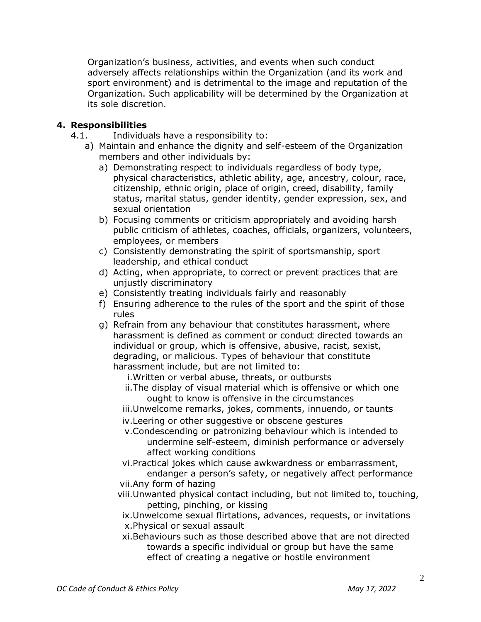Organization's business, activities, and events when such conduct adversely affects relationships within the Organization (and its work and sport environment) and is detrimental to the image and reputation of the Organization. Such applicability will be determined by the Organization at its sole discretion.

## **4. Responsibilities**

- 4.1. Individuals have a responsibility to:
	- a) Maintain and enhance the dignity and self-esteem of the Organization members and other individuals by:
		- a) Demonstrating respect to individuals regardless of body type, physical characteristics, athletic ability, age, ancestry, colour, race, citizenship, ethnic origin, place of origin, creed, disability, family status, marital status, gender identity, gender expression, sex, and sexual orientation
		- b) Focusing comments or criticism appropriately and avoiding harsh public criticism of athletes, coaches, officials, organizers, volunteers, employees, or members
		- c) Consistently demonstrating the spirit of sportsmanship, sport leadership, and ethical conduct
		- d) Acting, when appropriate, to correct or prevent practices that are unjustly discriminatory
		- e) Consistently treating individuals fairly and reasonably
		- f) Ensuring adherence to the rules of the sport and the spirit of those rules
		- g) Refrain from any behaviour that constitutes harassment, where harassment is defined as comment or conduct directed towards an individual or group, which is offensive, abusive, racist, sexist, degrading, or malicious. Types of behaviour that constitute harassment include, but are not limited to:

i.Written or verbal abuse, threats, or outbursts

- ii.The display of visual material which is offensive or which one ought to know is offensive in the circumstances
- iii.Unwelcome remarks, jokes, comments, innuendo, or taunts
- iv.Leering or other suggestive or obscene gestures
- v.Condescending or patronizing behaviour which is intended to undermine self-esteem, diminish performance or adversely affect working conditions
- vi.Practical jokes which cause awkwardness or embarrassment, endanger a person's safety, or negatively affect performance vii.Any form of hazing
- viii.Unwanted physical contact including, but not limited to, touching, petting, pinching, or kissing
	- ix.Unwelcome sexual flirtations, advances, requests, or invitations x.Physical or sexual assault
	- xi.Behaviours such as those described above that are not directed towards a specific individual or group but have the same effect of creating a negative or hostile environment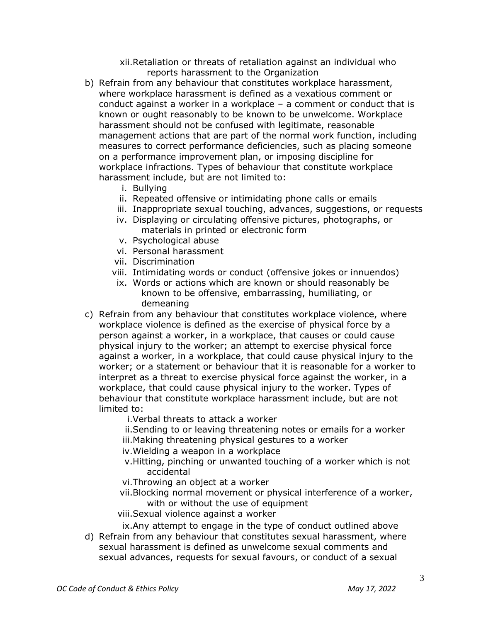xii.Retaliation or threats of retaliation against an individual who reports harassment to the Organization

- b) Refrain from any behaviour that constitutes workplace harassment, where workplace harassment is defined as a vexatious comment or conduct against a worker in a workplace – a comment or conduct that is known or ought reasonably to be known to be unwelcome. Workplace harassment should not be confused with legitimate, reasonable management actions that are part of the normal work function, including measures to correct performance deficiencies, such as placing someone on a performance improvement plan, or imposing discipline for workplace infractions. Types of behaviour that constitute workplace harassment include, but are not limited to:
	- i. Bullying
	- ii. Repeated offensive or intimidating phone calls or emails
	- iii. Inappropriate sexual touching, advances, suggestions, or requests
	- iv. Displaying or circulating offensive pictures, photographs, or materials in printed or electronic form
	- v. Psychological abuse
	- vi. Personal harassment
	- vii. Discrimination
	- viii. Intimidating words or conduct (offensive jokes or innuendos)
	- ix. Words or actions which are known or should reasonably be known to be offensive, embarrassing, humiliating, or demeaning
- c) Refrain from any behaviour that constitutes workplace violence, where workplace violence is defined as the exercise of physical force by a person against a worker, in a workplace, that causes or could cause physical injury to the worker; an attempt to exercise physical force against a worker, in a workplace, that could cause physical injury to the worker; or a statement or behaviour that it is reasonable for a worker to interpret as a threat to exercise physical force against the worker, in a workplace, that could cause physical injury to the worker. Types of behaviour that constitute workplace harassment include, but are not limited to:

i.Verbal threats to attack a worker

ii.Sending to or leaving threatening notes or emails for a worker iii.Making threatening physical gestures to a worker

iv.Wielding a weapon in a workplace

- v.Hitting, pinching or unwanted touching of a worker which is not accidental
- vi.Throwing an object at a worker
- vii.Blocking normal movement or physical interference of a worker, with or without the use of equipment
- viii.Sexual violence against a worker

ix.Any attempt to engage in the type of conduct outlined above

d) Refrain from any behaviour that constitutes sexual harassment, where sexual harassment is defined as unwelcome sexual comments and sexual advances, requests for sexual favours, or conduct of a sexual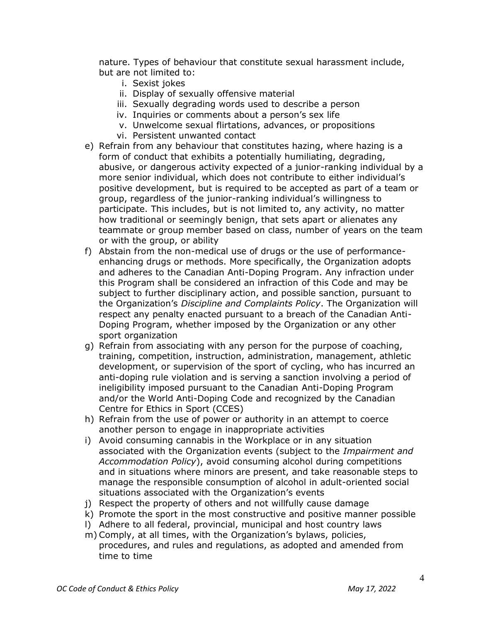nature. Types of behaviour that constitute sexual harassment include, but are not limited to:

- i. Sexist jokes
- ii. Display of sexually offensive material
- iii. Sexually degrading words used to describe a person
- iv. Inquiries or comments about a person's sex life
- v. Unwelcome sexual flirtations, advances, or propositions
- vi. Persistent unwanted contact
- e) Refrain from any behaviour that constitutes hazing, where hazing is a form of conduct that exhibits a potentially humiliating, degrading, abusive, or dangerous activity expected of a junior-ranking individual by a more senior individual, which does not contribute to either individual's positive development, but is required to be accepted as part of a team or group, regardless of the junior-ranking individual's willingness to participate. This includes, but is not limited to, any activity, no matter how traditional or seemingly benign, that sets apart or alienates any teammate or group member based on class, number of years on the team or with the group, or ability
- f) Abstain from the non-medical use of drugs or the use of performanceenhancing drugs or methods. More specifically, the Organization adopts and adheres to the Canadian Anti-Doping Program. Any infraction under this Program shall be considered an infraction of this Code and may be subject to further disciplinary action, and possible sanction, pursuant to the Organization's *Discipline and Complaints Policy*. The Organization will respect any penalty enacted pursuant to a breach of the Canadian Anti-Doping Program, whether imposed by the Organization or any other sport organization
- g) Refrain from associating with any person for the purpose of coaching, training, competition, instruction, administration, management, athletic development, or supervision of the sport of cycling, who has incurred an anti-doping rule violation and is serving a sanction involving a period of ineligibility imposed pursuant to the Canadian Anti-Doping Program and/or the World Anti-Doping Code and recognized by the Canadian Centre for Ethics in Sport (CCES)
- h) Refrain from the use of power or authority in an attempt to coerce another person to engage in inappropriate activities
- i) Avoid consuming cannabis in the Workplace or in any situation associated with the Organization events (subject to the *Impairment and Accommodation Policy*), avoid consuming alcohol during competitions and in situations where minors are present, and take reasonable steps to manage the responsible consumption of alcohol in adult-oriented social situations associated with the Organization's events
- j) Respect the property of others and not willfully cause damage
- k) Promote the sport in the most constructive and positive manner possible
- l) Adhere to all federal, provincial, municipal and host country laws
- m) Comply, at all times, with the Organization's bylaws, policies, procedures, and rules and regulations, as adopted and amended from time to time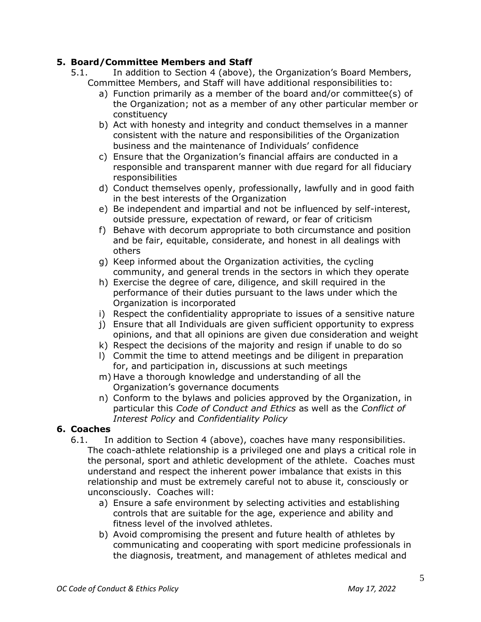## **5. Board/Committee Members and Staff**

- 5.1. In addition to Section 4 (above), the Organization's Board Members, Committee Members, and Staff will have additional responsibilities to:
	- a) Function primarily as a member of the board and/or committee(s) of the Organization; not as a member of any other particular member or constituency
	- b) Act with honesty and integrity and conduct themselves in a manner consistent with the nature and responsibilities of the Organization business and the maintenance of Individuals' confidence
	- c) Ensure that the Organization's financial affairs are conducted in a responsible and transparent manner with due regard for all fiduciary responsibilities
	- d) Conduct themselves openly, professionally, lawfully and in good faith in the best interests of the Organization
	- e) Be independent and impartial and not be influenced by self-interest, outside pressure, expectation of reward, or fear of criticism
	- f) Behave with decorum appropriate to both circumstance and position and be fair, equitable, considerate, and honest in all dealings with others
	- g) Keep informed about the Organization activities, the cycling community, and general trends in the sectors in which they operate
	- h) Exercise the degree of care, diligence, and skill required in the performance of their duties pursuant to the laws under which the Organization is incorporated
	- i) Respect the confidentiality appropriate to issues of a sensitive nature
	- j) Ensure that all Individuals are given sufficient opportunity to express opinions, and that all opinions are given due consideration and weight
	- k) Respect the decisions of the majority and resign if unable to do so
	- l) Commit the time to attend meetings and be diligent in preparation for, and participation in, discussions at such meetings
	- m) Have a thorough knowledge and understanding of all the Organization's governance documents
	- n) Conform to the bylaws and policies approved by the Organization, in particular this *Code of Conduct and Ethics* as well as the *Conflict of Interest Policy* and *Confidentiality Policy*

## **6. Coaches**

- 6.1. In addition to Section 4 (above), coaches have many responsibilities. The coach-athlete relationship is a privileged one and plays a critical role in the personal, sport and athletic development of the athlete. Coaches must understand and respect the inherent power imbalance that exists in this relationship and must be extremely careful not to abuse it, consciously or unconsciously. Coaches will:
	- a) Ensure a safe environment by selecting activities and establishing controls that are suitable for the age, experience and ability and fitness level of the involved athletes.
	- b) Avoid compromising the present and future health of athletes by communicating and cooperating with sport medicine professionals in the diagnosis, treatment, and management of athletes medical and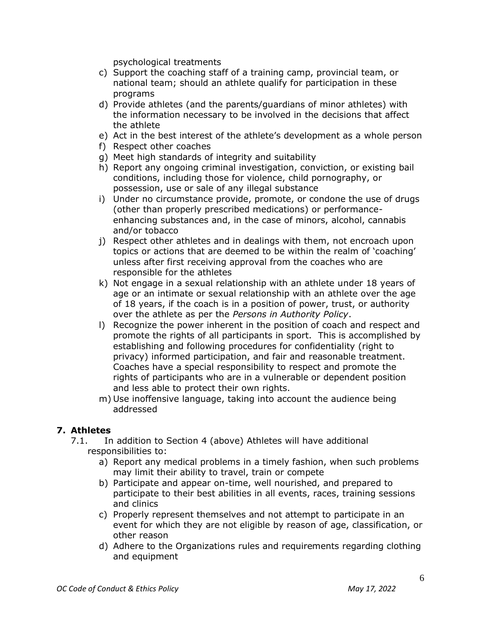psychological treatments

- c) Support the coaching staff of a training camp, provincial team, or national team; should an athlete qualify for participation in these programs
- d) Provide athletes (and the parents/guardians of minor athletes) with the information necessary to be involved in the decisions that affect the athlete
- e) Act in the best interest of the athlete's development as a whole person
- f) Respect other coaches
- g) Meet high standards of integrity and suitability
- h) Report any ongoing criminal investigation, conviction, or existing bail conditions, including those for violence, child pornography, or possession, use or sale of any illegal substance
- i) Under no circumstance provide, promote, or condone the use of drugs (other than properly prescribed medications) or performanceenhancing substances and, in the case of minors, alcohol, cannabis and/or tobacco
- j) Respect other athletes and in dealings with them, not encroach upon topics or actions that are deemed to be within the realm of 'coaching' unless after first receiving approval from the coaches who are responsible for the athletes
- k) Not engage in a sexual relationship with an athlete under 18 years of age or an intimate or sexual relationship with an athlete over the age of 18 years, if the coach is in a position of power, trust, or authority over the athlete as per the *Persons in Authority Policy*.
- l) Recognize the power inherent in the position of coach and respect and promote the rights of all participants in sport. This is accomplished by establishing and following procedures for confidentiality (right to privacy) informed participation, and fair and reasonable treatment. Coaches have a special responsibility to respect and promote the rights of participants who are in a vulnerable or dependent position and less able to protect their own rights.
- m) Use inoffensive language, taking into account the audience being addressed

## **7. Athletes**

- 7.1. In addition to Section 4 (above) Athletes will have additional responsibilities to:
	- a) Report any medical problems in a timely fashion, when such problems may limit their ability to travel, train or compete
	- b) Participate and appear on-time, well nourished, and prepared to participate to their best abilities in all events, races, training sessions and clinics
	- c) Properly represent themselves and not attempt to participate in an event for which they are not eligible by reason of age, classification, or other reason
	- d) Adhere to the Organizations rules and requirements regarding clothing and equipment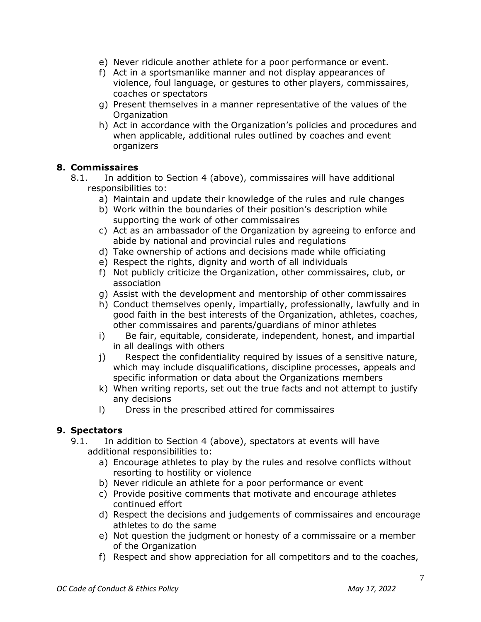- e) Never ridicule another athlete for a poor performance or event.
- f) Act in a sportsmanlike manner and not display appearances of violence, foul language, or gestures to other players, commissaires, coaches or spectators
- g) Present themselves in a manner representative of the values of the **Organization**
- h) Act in accordance with the Organization's policies and procedures and when applicable, additional rules outlined by coaches and event organizers

## **8. Commissaires**

- 8.1. In addition to Section 4 (above), commissaires will have additional responsibilities to:
	- a) Maintain and update their knowledge of the rules and rule changes
	- b) Work within the boundaries of their position's description while supporting the work of other commissaires
	- c) Act as an ambassador of the Organization by agreeing to enforce and abide by national and provincial rules and regulations
	- d) Take ownership of actions and decisions made while officiating
	- e) Respect the rights, dignity and worth of all individuals
	- f) Not publicly criticize the Organization, other commissaires, club, or association
	- g) Assist with the development and mentorship of other commissaires
	- h) Conduct themselves openly, impartially, professionally, lawfully and in good faith in the best interests of the Organization, athletes, coaches, other commissaires and parents/guardians of minor athletes
	- i) Be fair, equitable, considerate, independent, honest, and impartial in all dealings with others
	- j) Respect the confidentiality required by issues of a sensitive nature, which may include disqualifications, discipline processes, appeals and specific information or data about the Organizations members
	- k) When writing reports, set out the true facts and not attempt to justify any decisions
	- l) Dress in the prescribed attired for commissaires

## **9. Spectators**

- 9.1. In addition to Section 4 (above), spectators at events will have additional responsibilities to:
	- a) Encourage athletes to play by the rules and resolve conflicts without resorting to hostility or violence
	- b) Never ridicule an athlete for a poor performance or event
	- c) Provide positive comments that motivate and encourage athletes continued effort
	- d) Respect the decisions and judgements of commissaires and encourage athletes to do the same
	- e) Not question the judgment or honesty of a commissaire or a member of the Organization
	- f) Respect and show appreciation for all competitors and to the coaches,